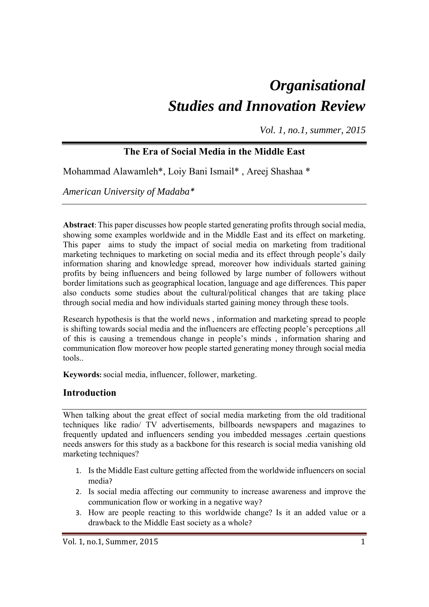# *Organisational Studies and Innovation Review*

*Vol. 1, no.1, summer, 2015*

# **The Era of Social Media in the Middle East**

Mohammad Alawamleh\*, Loiy Bani Ismail\* , Areej Shashaa \*

*American University of Madaba\** 

**Abstract**: This paper discusses how people started generating profits through social media, showing some examples worldwide and in the Middle East and its effect on marketing. This paper aims to study the impact of social media on marketing from traditional marketing techniques to marketing on social media and its effect through people's daily information sharing and knowledge spread, moreover how individuals started gaining profits by being influencers and being followed by large number of followers without border limitations such as geographical location, language and age differences. This paper also conducts some studies about the cultural/political changes that are taking place through social media and how individuals started gaining money through these tools.

Research hypothesis is that the world news , information and marketing spread to people is shifting towards social media and the influencers are effecting people's perceptions ,all of this is causing a tremendous change in people's minds , information sharing and communication flow moreover how people started generating money through social media tools..

**Keywords:** social media, influencer, follower, marketing.

## **Introduction**

When talking about the great effect of social media marketing from the old traditional techniques like radio/ TV advertisements, billboards newspapers and magazines to frequently updated and influencers sending you imbedded messages .certain questions needs answers for this study as a backbone for this research is social media vanishing old marketing techniques?

- 1. Is the Middle East culture getting affected from the worldwide influencers on social media?
- 2. Is social media affecting our community to increase awareness and improve the communication flow or working in a negative way?
- 3. How are people reacting to this worldwide change? Is it an added value or a drawback to the Middle East society as a whole?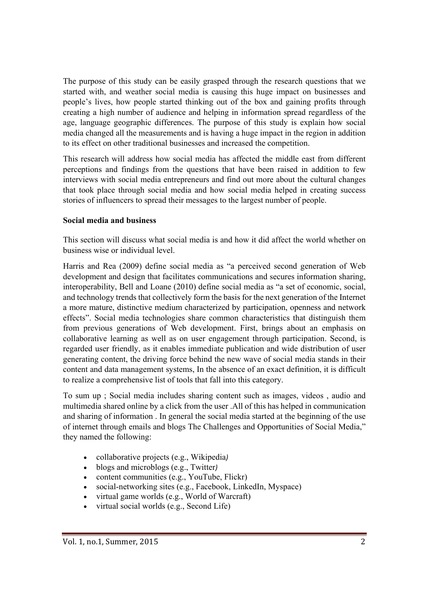The purpose of this study can be easily grasped through the research questions that we started with, and weather social media is causing this huge impact on businesses and people's lives, how people started thinking out of the box and gaining profits through creating a high number of audience and helping in information spread regardless of the age, language geographic differences. The purpose of this study is explain how social media changed all the measurements and is having a huge impact in the region in addition to its effect on other traditional businesses and increased the competition.

This research will address how social media has affected the middle east from different perceptions and findings from the questions that have been raised in addition to few interviews with social media entrepreneurs and find out more about the cultural changes that took place through social media and how social media helped in creating success stories of influencers to spread their messages to the largest number of people.

#### **Social media and business**

This section will discuss what social media is and how it did affect the world whether on business wise or individual level.

Harris and Rea (2009) define social media as "a perceived second generation of Web development and design that facilitates communications and secures information sharing, interoperability, Bell and Loane (2010) define social media as "a set of economic, social, and technology trends that collectively form the basis for the next generation of the Internet a more mature, distinctive medium characterized by participation, openness and network effects". Social media technologies share common characteristics that distinguish them from previous generations of Web development. First, brings about an emphasis on collaborative learning as well as on user engagement through participation. Second, is regarded user friendly, as it enables immediate publication and wide distribution of user generating content, the driving force behind the new wave of social media stands in their content and data management systems, In the absence of an exact definition, it is difficult to realize a comprehensive list of tools that fall into this category.

To sum up ; Social media includes sharing content such as images, videos , audio and multimedia shared online by a click from the user .All of this has helped in communication and sharing of information . In general the social media started at the beginning of the use of internet through emails and blogs The Challenges and Opportunities of Social Media," they named the following:

- collaborative projects (e.g., Wikipedia*)*
- blogs and microblogs (e.g., Twitter*)*
- content communities (e.g., YouTube, Flickr)
- social-networking sites (e.g., Facebook, LinkedIn, Myspace)
- virtual game worlds (e.g., World of Warcraft)
- virtual social worlds (e.g., Second Life)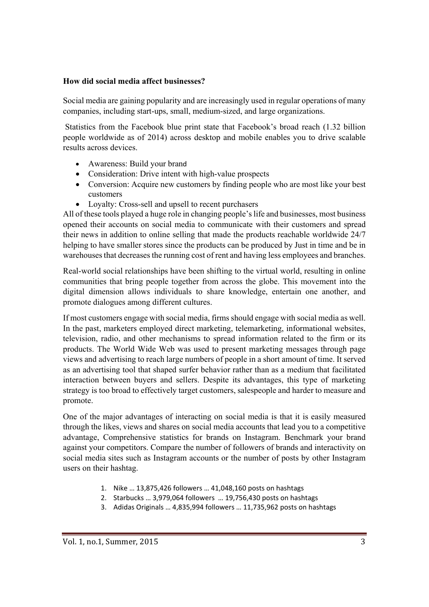#### **How did social media affect businesses?**

Social media are gaining popularity and are increasingly used in regular operations of many companies, including start-ups, small, medium-sized, and large organizations.

 Statistics from the Facebook blue print state that Facebook's broad reach (1.32 billion people worldwide as of 2014) across desktop and mobile enables you to drive scalable results across devices.

- Awareness: Build your brand
- Consideration: Drive intent with high-value prospects
- Conversion: Acquire new customers by finding people who are most like your best customers
- Loyalty: Cross-sell and upsell to recent purchasers

All of these tools played a huge role in changing people's life and businesses, most business opened their accounts on social media to communicate with their customers and spread their news in addition to online selling that made the products reachable worldwide 24/7 helping to have smaller stores since the products can be produced by Just in time and be in warehouses that decreases the running cost of rent and having less employees and branches.

Real-world social relationships have been shifting to the virtual world, resulting in online communities that bring people together from across the globe. This movement into the digital dimension allows individuals to share knowledge, entertain one another, and promote dialogues among different cultures.

If most customers engage with social media, firms should engage with social media as well. In the past, marketers employed direct marketing, telemarketing, informational websites, television, radio, and other mechanisms to spread information related to the firm or its products. The World Wide Web was used to present marketing messages through page views and advertising to reach large numbers of people in a short amount of time. It served as an advertising tool that shaped surfer behavior rather than as a medium that facilitated interaction between buyers and sellers. Despite its advantages, this type of marketing strategy is too broad to effectively target customers, salespeople and harder to measure and promote.

One of the major advantages of interacting on social media is that it is easily measured through the likes, views and shares on social media accounts that lead you to a competitive advantage, Comprehensive statistics for brands on Instagram. Benchmark your brand against your competitors. Compare the number of followers of brands and interactivity on social media sites such as Instagram accounts or the number of posts by other Instagram users on their hashtag.

- 1. Nike … 13,875,426 followers … 41,048,160 posts on hashtags
- 2. Starbucks … 3,979,064 followers … 19,756,430 posts on hashtags
- 3. Adidas Originals … 4,835,994 followers … 11,735,962 posts on hashtags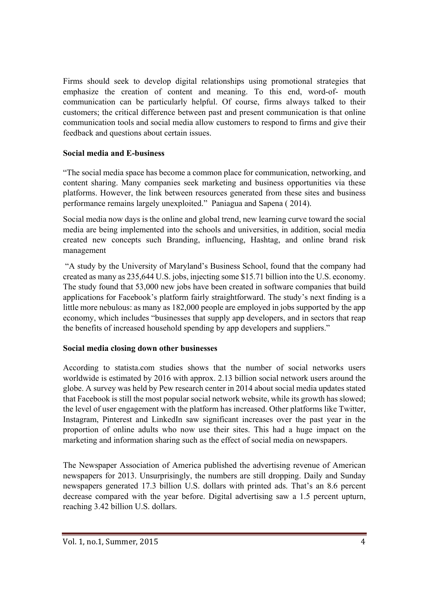Firms should seek to develop digital relationships using promotional strategies that emphasize the creation of content and meaning. To this end, word-of- mouth communication can be particularly helpful. Of course, firms always talked to their customers; the critical difference between past and present communication is that online communication tools and social media allow customers to respond to firms and give their feedback and questions about certain issues.

#### **Social media and E-business**

"The social media space has become a common place for communication, networking, and content sharing. Many companies seek marketing and business opportunities via these platforms. However, the link between resources generated from these sites and business performance remains largely unexploited." Paniagua and Sapena ( 2014).

Social media now days is the online and global trend, new learning curve toward the social media are being implemented into the schools and universities, in addition, social media created new concepts such Branding, influencing, Hashtag, and online brand risk management

 "A study by the University of Maryland's Business School, found that the company had created as many as 235,644 U.S. jobs, injecting some \$15.71 billion into the U.S. economy. The study found that 53,000 new jobs have been created in software companies that build applications for Facebook's platform fairly straightforward. The study's next finding is a little more nebulous: as many as 182,000 people are employed in jobs supported by the app economy, which includes "businesses that supply app developers, and in sectors that reap the benefits of increased household spending by app developers and suppliers."

## **Social media closing down other businesses**

According to statista.com studies shows that the number of social networks users worldwide is estimated by 2016 with approx. 2.13 billion social network users around the globe. A survey was held by Pew research center in 2014 about social media updates stated that Facebook is still the most popular social network website, while its growth has slowed; the level of user engagement with the platform has increased. Other platforms like Twitter, Instagram, Pinterest and LinkedIn saw significant increases over the past year in the proportion of online adults who now use their sites. This had a huge impact on the marketing and information sharing such as the effect of social media on newspapers.

The Newspaper Association of America published the advertising revenue of American newspapers for 2013. Unsurprisingly, the numbers are still dropping. Daily and Sunday newspapers generated 17.3 billion U.S. dollars with printed ads. That's an 8.6 percent decrease compared with the year before. Digital advertising saw a 1.5 percent upturn, reaching 3.42 billion U.S. dollars.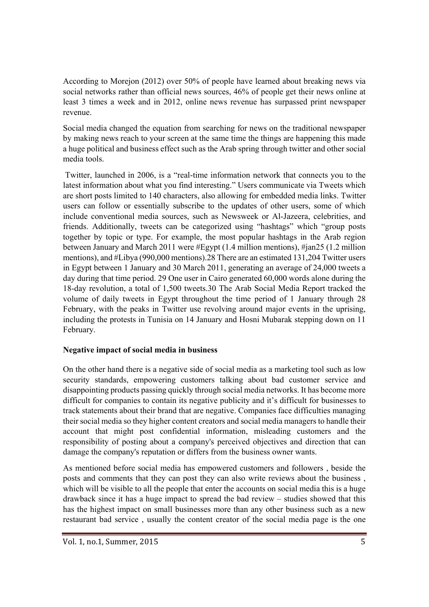According to Morejon (2012) over 50% of people have learned about breaking news via social networks rather than official news sources, 46% of people get their news online at least 3 times a week and in 2012, online news revenue has surpassed print newspaper revenue.

Social media changed the equation from searching for news on the traditional newspaper by making news reach to your screen at the same time the things are happening this made a huge political and business effect such as the Arab spring through twitter and other social media tools.

 Twitter, launched in 2006, is a "real-time information network that connects you to the latest information about what you find interesting." Users communicate via Tweets which are short posts limited to 140 characters, also allowing for embedded media links. Twitter users can follow or essentially subscribe to the updates of other users, some of which include conventional media sources, such as Newsweek or Al-Jazeera, celebrities, and friends. Additionally, tweets can be categorized using "hashtags" which "group posts together by topic or type. For example, the most popular hashtags in the Arab region between January and March 2011 were #Egypt (1.4 million mentions), #jan25 (1.2 million mentions), and #Libya (990,000 mentions).28 There are an estimated 131,204 Twitter users in Egypt between 1 January and 30 March 2011, generating an average of 24,000 tweets a day during that time period. 29 One user in Cairo generated 60,000 words alone during the 18-day revolution, a total of 1,500 tweets.30 The Arab Social Media Report tracked the volume of daily tweets in Egypt throughout the time period of 1 January through 28 February, with the peaks in Twitter use revolving around major events in the uprising, including the protests in Tunisia on 14 January and Hosni Mubarak stepping down on 11 February.

## **Negative impact of social media in business**

On the other hand there is a negative side of social media as a marketing tool such as low security standards, empowering customers talking about bad customer service and disappointing products passing quickly through social media networks. It has become more difficult for companies to contain its negative publicity and it's difficult for businesses to track statements about their brand that are negative. Companies face difficulties managing their social media so they higher content creators and social media managers to handle their account that might post confidential information, misleading customers and the responsibility of posting about a company's perceived objectives and direction that can damage the company's reputation or differs from the business owner wants.

As mentioned before social media has empowered customers and followers , beside the posts and comments that they can post they can also write reviews about the business , which will be visible to all the people that enter the accounts on social media this is a huge drawback since it has a huge impact to spread the bad review – studies showed that this has the highest impact on small businesses more than any other business such as a new restaurant bad service , usually the content creator of the social media page is the one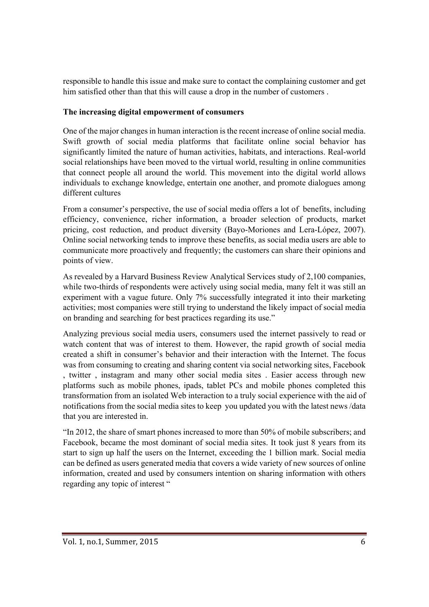responsible to handle this issue and make sure to contact the complaining customer and get him satisfied other than that this will cause a drop in the number of customers .

## **The increasing digital empowerment of consumers**

One of the major changes in human interaction is the recent increase of online social media. Swift growth of social media platforms that facilitate online social behavior has significantly limited the nature of human activities, habitats, and interactions. Real-world social relationships have been moved to the virtual world, resulting in online communities that connect people all around the world. This movement into the digital world allows individuals to exchange knowledge, entertain one another, and promote dialogues among different cultures

From a consumer's perspective, the use of social media offers a lot of benefits, including efficiency, convenience, richer information, a broader selection of products, market pricing, cost reduction, and product diversity (Bayo-Moriones and Lera-López, 2007). Online social networking tends to improve these benefits, as social media users are able to communicate more proactively and frequently; the customers can share their opinions and points of view.

As revealed by a Harvard Business Review Analytical Services study of 2,100 companies, while two-thirds of respondents were actively using social media, many felt it was still an experiment with a vague future. Only 7% successfully integrated it into their marketing activities; most companies were still trying to understand the likely impact of social media on branding and searching for best practices regarding its use."

Analyzing previous social media users, consumers used the internet passively to read or watch content that was of interest to them. However, the rapid growth of social media created a shift in consumer's behavior and their interaction with the Internet. The focus was from consuming to creating and sharing content via social networking sites, Facebook , twitter , instagram and many other social media sites . Easier access through new platforms such as mobile phones, ipads, tablet PCs and mobile phones completed this transformation from an isolated Web interaction to a truly social experience with the aid of notifications from the social media sites to keep you updated you with the latest news /data that you are interested in.

"In 2012, the share of smart phones increased to more than 50% of mobile subscribers; and Facebook, became the most dominant of social media sites. It took just 8 years from its start to sign up half the users on the Internet, exceeding the 1 billion mark. Social media can be defined as users generated media that covers a wide variety of new sources of online information, created and used by consumers intention on sharing information with others regarding any topic of interest "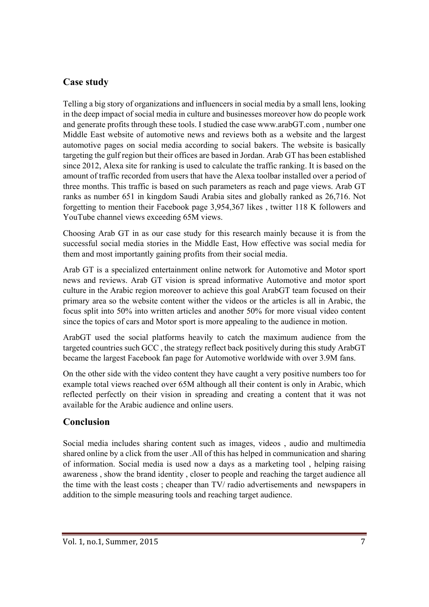## **Case study**

Telling a big story of organizations and influencers in social media by a small lens, looking in the deep impact of social media in culture and businesses moreover how do people work and generate profits through these tools. I studied the case www.arabGT.com , number one Middle East website of automotive news and reviews both as a website and the largest automotive pages on social media according to social bakers. The website is basically targeting the gulf region but their offices are based in Jordan. Arab GT has been established since 2012, Alexa site for ranking is used to calculate the traffic ranking. It is based on the amount of traffic recorded from users that have the Alexa toolbar installed over a period of three months. This traffic is based on such parameters as reach and page views. Arab GT ranks as number 651 in kingdom Saudi Arabia sites and globally ranked as 26,716. Not forgetting to mention their Facebook page 3,954,367 likes , twitter 118 K followers and YouTube channel views exceeding 65M views.

Choosing Arab GT in as our case study for this research mainly because it is from the successful social media stories in the Middle East, How effective was social media for them and most importantly gaining profits from their social media.

Arab GT is a specialized entertainment online network for Automotive and Motor sport news and reviews. Arab GT vision is spread informative Automotive and motor sport culture in the Arabic region moreover to achieve this goal ArabGT team focused on their primary area so the website content wither the videos or the articles is all in Arabic, the focus split into 50% into written articles and another 50% for more visual video content since the topics of cars and Motor sport is more appealing to the audience in motion.

ArabGT used the social platforms heavily to catch the maximum audience from the targeted countries such GCC , the strategy reflect back positively during this study ArabGT became the largest Facebook fan page for Automotive worldwide with over 3.9M fans.

On the other side with the video content they have caught a very positive numbers too for example total views reached over 65M although all their content is only in Arabic, which reflected perfectly on their vision in spreading and creating a content that it was not available for the Arabic audience and online users.

# **Conclusion**

Social media includes sharing content such as images, videos , audio and multimedia shared online by a click from the user .All of this has helped in communication and sharing of information. Social media is used now a days as a marketing tool , helping raising awareness , show the brand identity , closer to people and reaching the target audience all the time with the least costs ; cheaper than TV/ radio advertisements and newspapers in addition to the simple measuring tools and reaching target audience.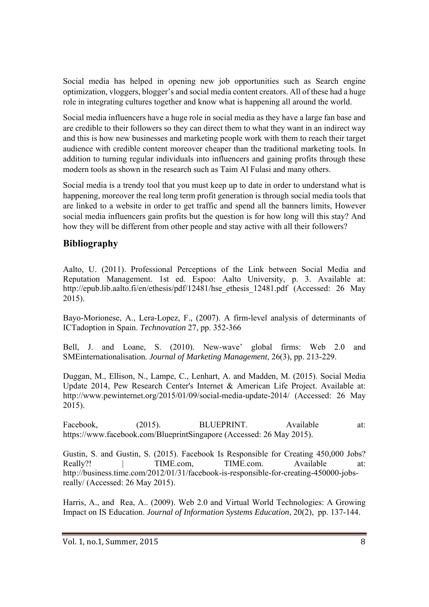Social media has helped in opening new job opportunities such as Search engine optimization, vloggers, blogger's and social media content creators. All of these had a huge role in integrating cultures together and know what is happening all around the world.

Social media influencers have a huge role in social media as they have a large fan base and are credible to their followers so they can direct them to what they want in an indirect way and this is how new businesses and marketing people work with them to reach their target audience with credible content moreover cheaper than the traditional marketing tools. In addition to turning regular individuals into influencers and gaining profits through these modern tools as shown in the research such as Taim Al Fulasi and many others.

Social media is a trendy tool that you must keep up to date in order to understand what is happening, moreover the real long term profit generation is through social media tools that are linked to a website in order to get traffic and spend all the banners limits, However social media influencers gain profits but the question is for how long will this stay? And how they will be different from other people and stay active with all their followers?

## **Bibliography**

Aalto, U. (2011). Professional Perceptions of the Link between Social Media and Reputation Management. 1st ed. Espoo: Aalto University, p. 3. Available at: http://epub.lib.aalto.fi/en/ethesis/pdf/12481/hse\_ethesis\_12481.pdf (Accessed: 26 May 2015).

Bayo-Morionese, A., Lera-Lopez, F., (2007). A firm-level analysis of determinants of ICTadoption in Spain. *Technovation* 27, pp. 352-366

Bell, J. and Loane, S. (2010). New-wave' global firms: Web 2.0 and SMEinternationalisation. *Journal of Marketing Management*, 26(3), pp. 213-229.

Duggan, M., Ellison, N., Lampe, C., Lenhart, A. and Madden, M. (2015). Social Media Update 2014, Pew Research Center's Internet & American Life Project. Available at: http://www.pewinternet.org/2015/01/09/social-media-update-2014/ (Accessed: 26 May 2015).

Facebook. (2015). BLUEPRINT. Available at: https://www.facebook.com/BlueprintSingapore (Accessed: 26 May 2015).

Gustin, S. and Gustin, S. (2015). Facebook Is Responsible for Creating 450,000 Jobs? Really?! | TIME.com. TIME.com. Available at: http://business.time.com/2012/01/31/facebook-is-responsible-for-creating-450000-jobsreally/ (Accessed: 26 May 2015).

Harris, A., and Rea, A.. (2009). Web 2.0 and Virtual World Technologies: A Growing Impact on IS Education. *Journal of Information Systems Education*, 20(2), pp. 137-144.